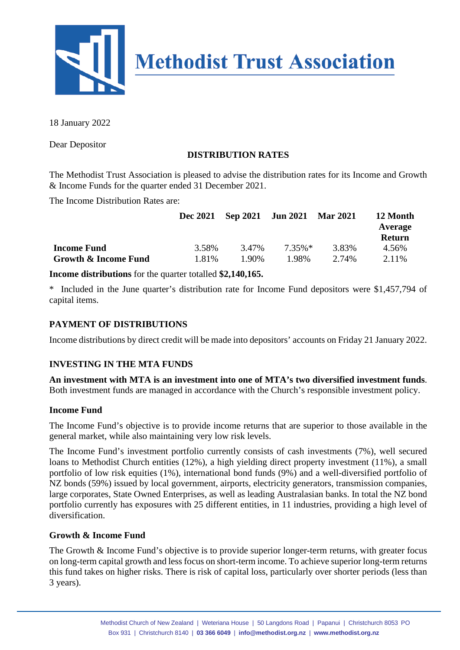

18 January 2022

Dear Depositor

# **DISTRIBUTION RATES**

The Methodist Trust Association is pleased to advise the distribution rates for its Income and Growth & Income Funds for the quarter ended 31 December 2021.

The Income Distribution Rates are:

|                      | <b>Dec 2021</b> |       | Sep 2021 Jun 2021 | <b>Mar 2021</b> | 12 Month<br>Average<br><b>Return</b> |
|----------------------|-----------------|-------|-------------------|-----------------|--------------------------------------|
| <b>Income Fund</b>   | 3.58%           | 3.47% | $7.35\%*$         | 3.83%           | 4.56%                                |
| Growth & Income Fund | 1.81%           | 1.90% | 1.98%             | 2.74%           | 2.11%                                |

**Income distributions** for the quarter totalled **\$2,140,165.**

\* Included in the June quarter's distribution rate for Income Fund depositors were \$1,457,794 of capital items.

# **PAYMENT OF DISTRIBUTIONS**

Income distributions by direct credit will be made into depositors' accounts on Friday 21 January 2022.

### **INVESTING IN THE MTA FUNDS**

**An investment with MTA is an investment into one of MTA's two diversified investment funds**. Both investment funds are managed in accordance with the Church's responsible investment policy.

#### **Income Fund**

The Income Fund's objective is to provide income returns that are superior to those available in the general market, while also maintaining very low risk levels.

The Income Fund's investment portfolio currently consists of cash investments (7%), well secured loans to Methodist Church entities (12%), a high yielding direct property investment (11%), a small portfolio of low risk equities (1%), international bond funds (9%) and a well-diversified portfolio of NZ bonds (59%) issued by local government, airports, electricity generators, transmission companies, large corporates, State Owned Enterprises, as well as leading Australasian banks. In total the NZ bond portfolio currently has exposures with 25 different entities, in 11 industries, providing a high level of diversification.

### **Growth & Income Fund**

The Growth & Income Fund's objective is to provide superior longer-term returns, with greater focus on long-term capital growth and less focus on short-term income. To achieve superior long-term returns this fund takes on higher risks. There is risk of capital loss, particularly over shorter periods (less than 3 years).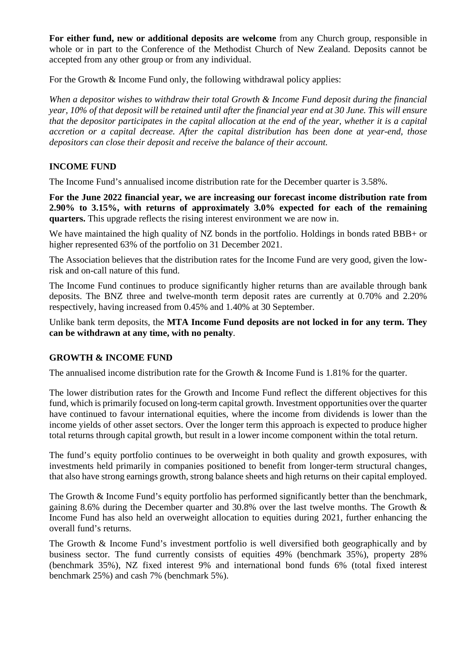**For either fund, new or additional deposits are welcome** from any Church group, responsible in whole or in part to the Conference of the Methodist Church of New Zealand. Deposits cannot be accepted from any other group or from any individual.

For the Growth & Income Fund only, the following withdrawal policy applies:

*When a depositor wishes to withdraw their total Growth & Income Fund deposit during the financial year, 10% of that deposit will be retained until after the financial year end at 30 June. This will ensure that the depositor participates in the capital allocation at the end of the year, whether it is a capital accretion or a capital decrease. After the capital distribution has been done at year-end, those depositors can close their deposit and receive the balance of their account.*

### **INCOME FUND**

The Income Fund's annualised income distribution rate for the December quarter is 3.58%.

**For the June 2022 financial year, we are increasing our forecast income distribution rate from 2.90% to 3.15%, with returns of approximately 3.0% expected for each of the remaining quarters.** This upgrade reflects the rising interest environment we are now in.

We have maintained the high quality of NZ bonds in the portfolio. Holdings in bonds rated BBB+ or higher represented 63% of the portfolio on 31 December 2021.

The Association believes that the distribution rates for the Income Fund are very good, given the lowrisk and on-call nature of this fund.

The Income Fund continues to produce significantly higher returns than are available through bank deposits. The BNZ three and twelve-month term deposit rates are currently at 0.70% and 2.20% respectively, having increased from 0.45% and 1.40% at 30 September.

Unlike bank term deposits, the **MTA Income Fund deposits are not locked in for any term. They can be withdrawn at any time, with no penalty**.

### **GROWTH & INCOME FUND**

The annualised income distribution rate for the Growth & Income Fund is 1.81% for the quarter.

The lower distribution rates for the Growth and Income Fund reflect the different objectives for this fund, which is primarily focused on long-term capital growth. Investment opportunities over the quarter have continued to favour international equities, where the income from dividends is lower than the income yields of other asset sectors. Over the longer term this approach is expected to produce higher total returns through capital growth, but result in a lower income component within the total return.

The fund's equity portfolio continues to be overweight in both quality and growth exposures, with investments held primarily in companies positioned to benefit from longer-term structural changes, that also have strong earnings growth, strong balance sheets and high returns on their capital employed.

The Growth & Income Fund's equity portfolio has performed significantly better than the benchmark, gaining 8.6% during the December quarter and 30.8% over the last twelve months. The Growth & Income Fund has also held an overweight allocation to equities during 2021, further enhancing the overall fund's returns.

The Growth & Income Fund's investment portfolio is well diversified both geographically and by business sector. The fund currently consists of equities 49% (benchmark 35%), property 28% (benchmark 35%), NZ fixed interest 9% and international bond funds 6% (total fixed interest benchmark 25%) and cash 7% (benchmark 5%).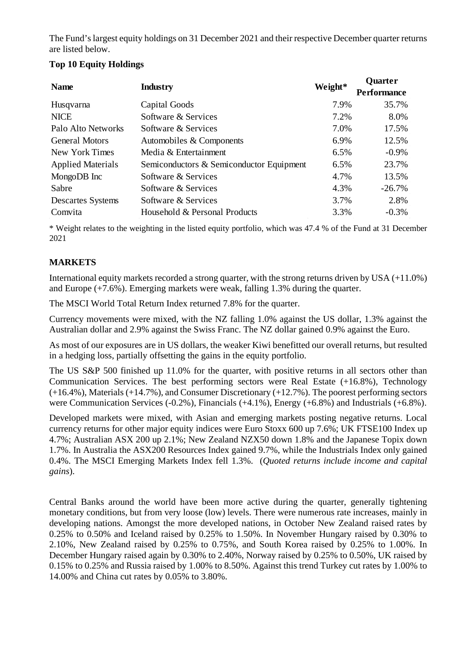The Fund's largest equity holdings on 31 December 2021 and their respective December quarter returns are listed below.

# **Top 10 Equity Holdings**

| <b>Name</b>              | <b>Industry</b>                          | Weight* | <b>Quarter</b>     |
|--------------------------|------------------------------------------|---------|--------------------|
|                          |                                          |         | <b>Performance</b> |
| Husqvarna                | Capital Goods                            | 7.9%    | 35.7%              |
| <b>NICE</b>              | Software & Services                      | 7.2%    | 8.0%               |
| Palo Alto Networks       | Software & Services                      | 7.0%    | 17.5%              |
| <b>General Motors</b>    | Automobiles & Components                 | 6.9%    | 12.5%              |
| New York Times           | Media & Entertainment                    | 6.5%    | $-0.9\%$           |
| <b>Applied Materials</b> | Semiconductors & Semiconductor Equipment | 6.5%    | 23.7%              |
| MongoDB Inc              | Software & Services                      | 4.7%    | 13.5%              |
| Sabre                    | Software & Services                      | 4.3%    | $-26.7%$           |
| <b>Descartes Systems</b> | Software & Services                      | 3.7%    | 2.8%               |
| Comvita                  | Household & Personal Products            | 3.3%    | $-0.3%$            |

\* Weight relates to the weighting in the listed equity portfolio, which was 47.4 % of the Fund at 31 December 2021

### **MARKETS**

International equity markets recorded a strong quarter, with the strong returns driven by USA (+11.0%) and Europe (+7.6%). Emerging markets were weak, falling 1.3% during the quarter.

The MSCI World Total Return Index returned 7.8% for the quarter.

Currency movements were mixed, with the NZ falling 1.0% against the US dollar, 1.3% against the Australian dollar and 2.9% against the Swiss Franc. The NZ dollar gained 0.9% against the Euro.

As most of our exposures are in US dollars, the weaker Kiwi benefitted our overall returns, but resulted in a hedging loss, partially offsetting the gains in the equity portfolio.

The US S&P 500 finished up 11.0% for the quarter, with positive returns in all sectors other than Communication Services. The best performing sectors were Real Estate (+16.8%), Technology (+16.4%), Materials (+14.7%), and Consumer Discretionary (+12.7%). The poorest performing sectors were Communication Services (-0.2%), Financials (+4.1%), Energy (+6.8%) and Industrials (+6.8%).

Developed markets were mixed, with Asian and emerging markets posting negative returns. Local currency returns for other major equity indices were Euro Stoxx 600 up 7.6%; UK FTSE100 Index up 4.7%; Australian ASX 200 up 2.1%; New Zealand NZX50 down 1.8% and the Japanese Topix down 1.7%. In Australia the ASX200 Resources Index gained 9.7%, while the Industrials Index only gained 0.4%. The MSCI Emerging Markets Index fell 1.3%. (*Quoted returns include income and capital gains*).

Central Banks around the world have been more active during the quarter, generally tightening monetary conditions, but from very loose (low) levels. There were numerous rate increases, mainly in developing nations. Amongst the more developed nations, in October New Zealand raised rates by 0.25% to 0.50% and Iceland raised by 0.25% to 1.50%. In November Hungary raised by 0.30% to 2.10%, New Zealand raised by 0.25% to 0.75%, and South Korea raised by 0.25% to 1.00%. In December Hungary raised again by 0.30% to 2.40%, Norway raised by 0.25% to 0.50%, UK raised by 0.15% to 0.25% and Russia raised by 1.00% to 8.50%. Against this trend Turkey cut rates by 1.00% to 14.00% and China cut rates by 0.05% to 3.80%.